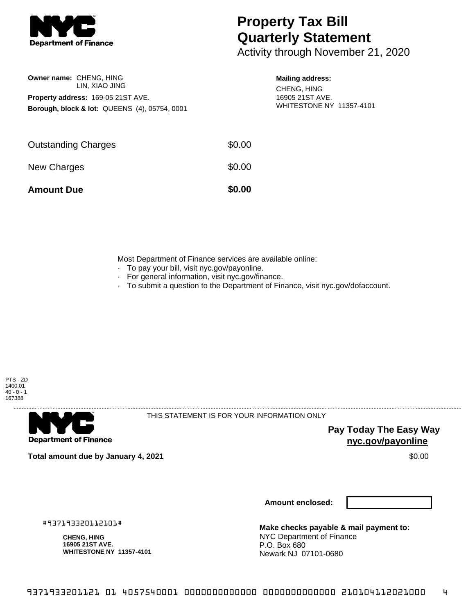

## **Property Tax Bill Quarterly Statement**

Activity through November 21, 2020

| Owner name: CHENG, HING                                  |
|----------------------------------------------------------|
| LIN, XIAO JING                                           |
| <b>Property address: 169-05 21ST AVE.</b>                |
| <b>Borough, block &amp; lot: QUEENS (4), 05754, 0001</b> |

## **Mailing address:**

CHENG, HING 16905 21ST AVE. WHITESTONE NY 11357-4101

| <b>Amount Due</b>          | \$0.00 |
|----------------------------|--------|
| New Charges                | \$0.00 |
| <b>Outstanding Charges</b> | \$0.00 |

Most Department of Finance services are available online:

- · To pay your bill, visit nyc.gov/payonline.
- For general information, visit nyc.gov/finance.
- · To submit a question to the Department of Finance, visit nyc.gov/dofaccount.



**Department of Finance** 

THIS STATEMENT IS FOR YOUR INFORMATION ONLY

**Pay Today The Easy Way nyc.gov/payonline**

**Total amount due by January 4, 2021** \$0.00

**Amount enclosed:**

#937193320112101#

**CHENG, HING 16905 21ST AVE. WHITESTONE NY 11357-4101**

**Make checks payable & mail payment to:** NYC Department of Finance P.O. Box 680 Newark NJ 07101-0680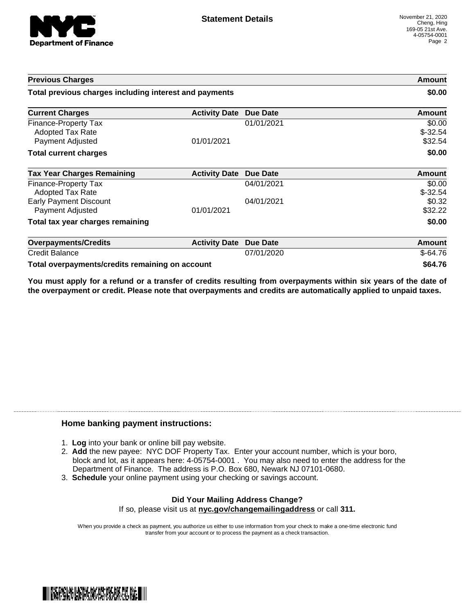

| <b>Previous Charges</b>                                      |                      |                 | Amount                         |
|--------------------------------------------------------------|----------------------|-----------------|--------------------------------|
| Total previous charges including interest and payments       |                      |                 | \$0.00                         |
| <b>Current Charges</b>                                       | <b>Activity Date</b> | <b>Due Date</b> | Amount                         |
| Finance-Property Tax<br>Adopted Tax Rate<br>Payment Adjusted | 01/01/2021           | 01/01/2021      | \$0.00<br>$$-32.54$<br>\$32.54 |
| <b>Total current charges</b>                                 |                      |                 | \$0.00                         |
| <b>Tax Year Charges Remaining</b>                            | <b>Activity Date</b> | Due Date        | <b>Amount</b>                  |
| Finance-Property Tax<br>Adopted Tax Rate                     |                      | 04/01/2021      | \$0.00<br>$$-32.54$            |
| <b>Early Payment Discount</b><br>Payment Adjusted            | 01/01/2021           | 04/01/2021      | \$0.32<br>\$32.22              |
| Total tax year charges remaining                             |                      |                 | \$0.00                         |
| <b>Overpayments/Credits</b>                                  | <b>Activity Date</b> | <b>Due Date</b> | Amount                         |
| <b>Credit Balance</b>                                        |                      | 07/01/2020      | $$-64.76$                      |
| Total overpayments/credits remaining on account              |                      |                 | \$64.76                        |

You must apply for a refund or a transfer of credits resulting from overpayments within six years of the date of **the overpayment or credit. Please note that overpayments and credits are automatically applied to unpaid taxes.**

## **Home banking payment instructions:**

- 1. **Log** into your bank or online bill pay website.
- 2. **Add** the new payee: NYC DOF Property Tax. Enter your account number, which is your boro, block and lot, as it appears here: 4-05754-0001 . You may also need to enter the address for the Department of Finance. The address is P.O. Box 680, Newark NJ 07101-0680.
- 3. **Schedule** your online payment using your checking or savings account.

## **Did Your Mailing Address Change?** If so, please visit us at **nyc.gov/changemailingaddress** or call **311.**

When you provide a check as payment, you authorize us either to use information from your check to make a one-time electronic fund transfer from your account or to process the payment as a check transaction.